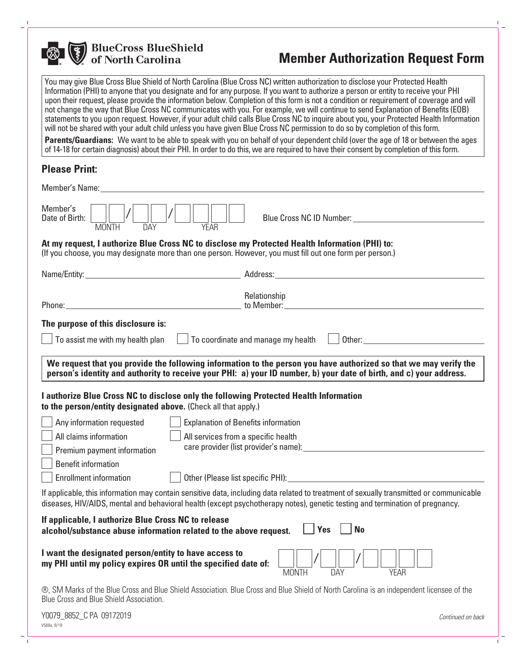

**BlueCross BlueShield<br>of North Carolina** 

# **Member Authorization Request Form**

You may give Blue Cross Blue Shield of North Carolina (Blue Cross NC) written authorization to disclose your Protected Health Information (PHI) to anyone that you designate and for any purpose. If you want to authorize a person or entity to receive your PHI upon their request, please provide the information below. Completion of this form is not a condition or requirement of coverage and will not change the way that Blue Cross NC communicates with you. For example, we will continue to send Explanation of Benefits (EOB) statements to you upon request. However, if your adult child calls Blue Cross NC to inquire about you, your Protected Health Information will not be shared with your adult child unless you have given Blue Cross NC permission to do so by completion of this form.

**Parents/Guardians:** We want to be able to speak with you on behalf of your dependent child (over the age of 18 or between the ages of 14-18 for certain diagnosis) about their PHI. In order to do this, we are required to have their consent by completion of this form.

# **Please Print:**

®, SM Marks of the Blue Cross and Blue Shield Association. Blue Cross and Blue Shield of North Carolina is an independent licensee of the Blue Cross and Blue Shield Association.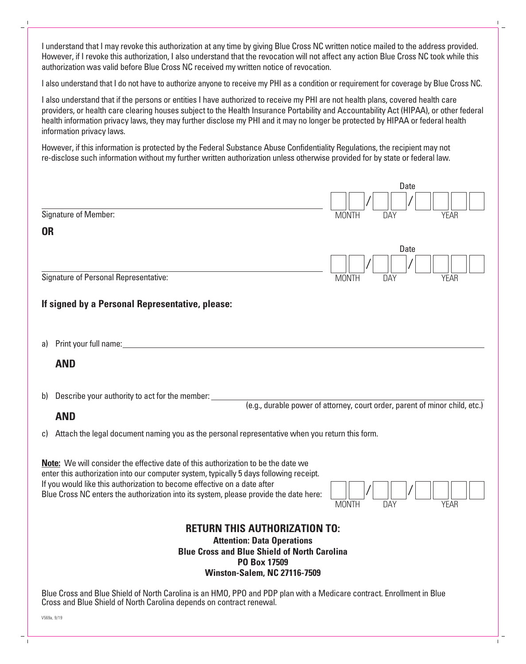I understand that I may revoke this authorization at any time by giving Blue Cross NC written notice mailed to the address provided. However, if I revoke this authorization, I also understand that the revocation will not affect any action Blue Cross NC took while this authorization was valid before Blue Cross NC received my written notice of revocation.

I also understand that I do not have to authorize anyone to receive my PHI as a condition or requirement for coverage by Blue Cross NC.

I also understand that if the persons or entities I have authorized to receive my PHI are not health plans, covered health care providers, or health care clearing houses subject to the Health Insurance Portability and Accountability Act (HIPAA), or other federal health information privacy laws, they may further disclose my PHI and it may no longer be protected by HIPAA or federal health information privacy laws.

However, if this information is protected by the Federal Substance Abuse Confidentiality Regulations, the recipient may not re-disclose such information without my further written authorization unless otherwise provided for by state or federal law.

|                                                                                                                                                                                                                                                                                                                                                                                        |                                                                                                | Date                                                                        |
|----------------------------------------------------------------------------------------------------------------------------------------------------------------------------------------------------------------------------------------------------------------------------------------------------------------------------------------------------------------------------------------|------------------------------------------------------------------------------------------------|-----------------------------------------------------------------------------|
|                                                                                                                                                                                                                                                                                                                                                                                        |                                                                                                |                                                                             |
|                                                                                                                                                                                                                                                                                                                                                                                        | Signature of Member:                                                                           | <b>MONTH</b><br><b>YEAR</b><br><b>DAY</b>                                   |
| <b>OR</b>                                                                                                                                                                                                                                                                                                                                                                              |                                                                                                |                                                                             |
|                                                                                                                                                                                                                                                                                                                                                                                        |                                                                                                | Date                                                                        |
|                                                                                                                                                                                                                                                                                                                                                                                        |                                                                                                |                                                                             |
| Signature of Personal Representative:                                                                                                                                                                                                                                                                                                                                                  |                                                                                                | <b>MONTH</b><br>DAY<br><b>YEAR</b>                                          |
|                                                                                                                                                                                                                                                                                                                                                                                        | If signed by a Personal Representative, please:                                                |                                                                             |
| a)                                                                                                                                                                                                                                                                                                                                                                                     |                                                                                                |                                                                             |
|                                                                                                                                                                                                                                                                                                                                                                                        | <b>AND</b>                                                                                     |                                                                             |
| b)                                                                                                                                                                                                                                                                                                                                                                                     | Describe your authority to act for the member:                                                 |                                                                             |
|                                                                                                                                                                                                                                                                                                                                                                                        | <b>AND</b>                                                                                     | (e.g., durable power of attorney, court order, parent of minor child, etc.) |
| C)                                                                                                                                                                                                                                                                                                                                                                                     | Attach the legal document naming you as the personal representative when you return this form. |                                                                             |
| Note: We will consider the effective date of this authorization to be the date we<br>enter this authorization into our computer system, typically 5 days following receipt.<br>If you would like this authorization to become effective on a date after<br>Blue Cross NC enters the authorization into its system, please provide the date here:<br><b>MONTH</b><br>DAY<br><b>YEAR</b> |                                                                                                |                                                                             |
| <b>RETURN THIS AUTHORIZATION TO:</b><br><b>Attention: Data Operations</b><br><b>Blue Cross and Blue Shield of North Carolina</b><br>PO Box 17509<br><b>Winston-Salem, NC 27116-7509</b>                                                                                                                                                                                                |                                                                                                |                                                                             |
| Blue Cross and Blue Shield of North Carolina is an HMO, PPO and PDP plan with a Medicare contract. Enrollment in Blue                                                                                                                                                                                                                                                                  |                                                                                                |                                                                             |

Cross and Blue Shield of North Carolina depends on contract renewal.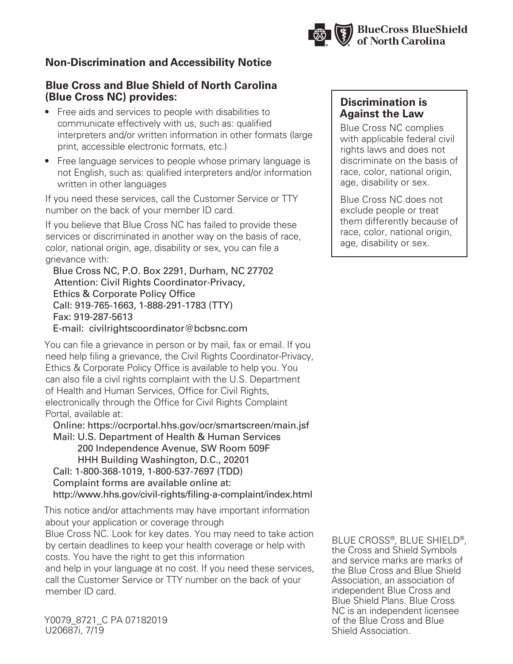

# **Non-Discrimination and Accessibility Notice**

#### **Blue Cross and Blue Shield of North Carolina (Blue Cross NC) provides:**

- Free aids and services to people with disabilities to communicate effectively with us, such as: qualified interpreters and/or written information in other formats (large print, accessible electronic formats, etc.)
- Free language services to people whose primary language is not English, such as: qualified interpreters and/or information written in other languages

If you need these services, call the Customer Service or TTY number on the back of your member ID card.

If you believe that Blue Cross NC has failed to provide these services or discriminated in another way on the basis of race, color, national origin, age, disability or sex, you can file a grievance with:

 Blue Cross NC, P.O. Box 2291, Durham, NC 27702 Attention: Civil Rights Coordinator-Privacy, Ethics & Corporate Policy Office Call: 919-765-1663, 1-888-291-1783 (TTY) Fax: 919-287-5613 E-mail: civilrightscoordinator@bcbsnc.com

You can file a grievance in person or by mail, fax or email. If you need help filing a grievance, the Civil Rights Coordinator-Privacy, Ethics & Corporate Policy Office is available to help you. You can also file a civil rights complaint with the U.S. Department of Health and Human Services, Office for Civil Rights, electronically through the Office for Civil Rights Complaint Portal, available at:

 Online: https://ocrportal.hhs.gov/ocr/smartscreen/main.jsf Mail: U.S. Department of Health & Human Services 200 Independence Avenue, SW Room 509F HHH Building Washington, D.C., 20201 Call: 1-800-368-1019, 1-800-537-7697 (TDD) Complaint forms are available online at: http://www.hhs.gov/civil-rights/filing-a-complaint/index.html

This notice and/or attachments may have important information about your application or coverage through Blue Cross NC. Look for key dates. You may need to take action by certain deadlines to keep your health coverage or help with costs. You have the right to get this information and help in your language at no cost. If you need these services, call the Customer Service or TTY number on the back of your member ID card.

Y0079\_8721\_C PA 07182019 U20687i, 7/19

### **Discrimination is Against the Law**

Blue Cross NC complies with applicable federal civil rights laws and does not discriminate on the basis of race, color, national origin, age, disability or sex.

Blue Cross NC does not exclude people or treat them differently because of race, color, national origin, age, disability or sex.

BLUE CROSS®, BLUE SHIELD®, the Cross and Shield Symbols and service marks are marks of the Blue Cross and Blue Shield Association, an association of independent Blue Cross and Blue Shield Plans. Blue Cross NC is an independent licensee of the Blue Cross and Blue Shield Association.